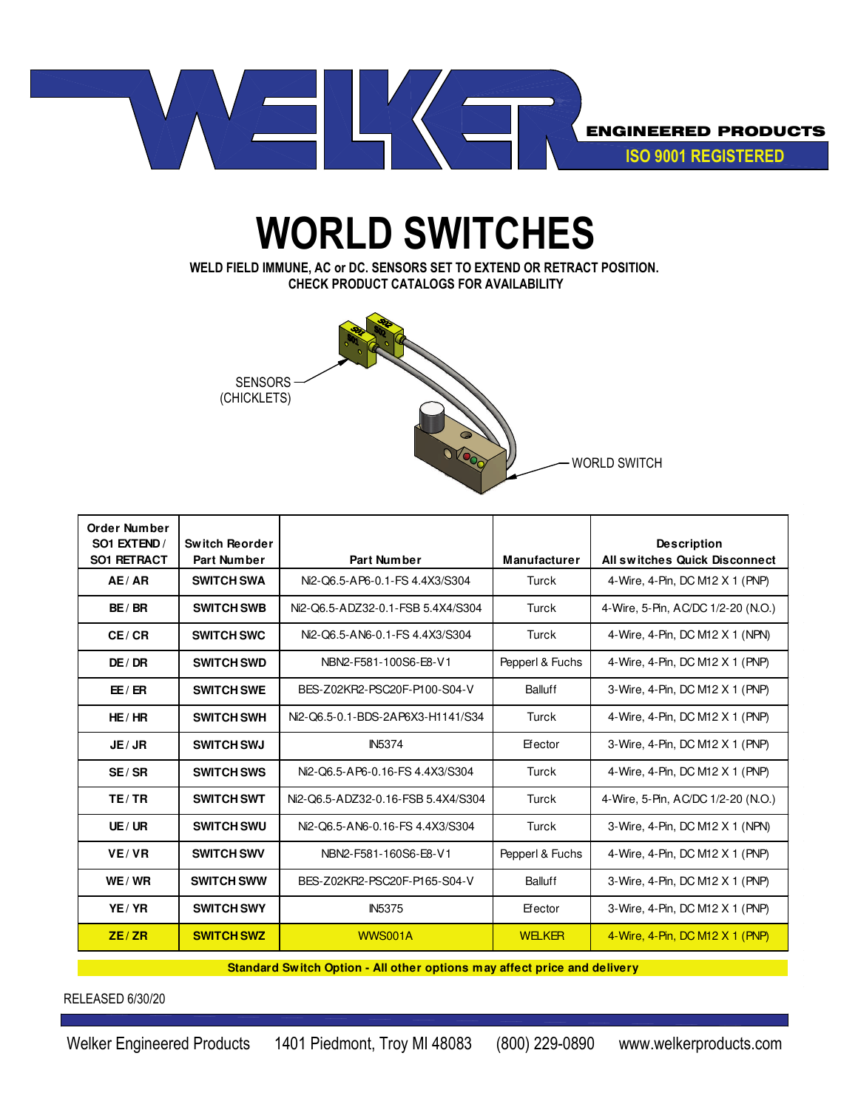

## **WORLD SWITCHES**

**WELD FIELD IMMUNE, AC or DC. SENSORS SET TO EXTEND OR RETRACT POSITION. CHECK PRODUCT CATALOGS FOR AVAILABILITY**



| Order Number<br>SO1 EXTEND /<br><b>SO1 RETRACT</b> | Switch Reorder<br><b>Part Number</b> | Part Number                        | <b>Manufacturer</b> | <b>Description</b><br><b>All switches Quick Disconnect</b> |
|----------------------------------------------------|--------------------------------------|------------------------------------|---------------------|------------------------------------------------------------|
| AE/AR                                              | <b>SWITCH SWA</b>                    | Ni2-Q6.5-AP6-0.1-FS 4.4X3/S304     | Turck               | 4-Wire, 4-Pin, DC M12 X 1 (PNP)                            |
| BE/BR                                              | <b>SWITCH SWB</b>                    | Ni2-Q6.5-ADZ32-0.1-FSB 5.4X4/S304  | Turck               | 4-Wire, 5-Pin, AC/DC 1/2-20 (N.O.)                         |
| CE/CR                                              | <b>SWITCH SWC</b>                    | Ni2-Q6.5-AN6-0.1-FS 4.4X3/S304     | Turck               | 4-Wire, 4-Pin, DC M12 X 1 (NPN)                            |
| DE / DR                                            | <b>SWITCH SWD</b>                    | NBN2-F581-100S6-E8-V1              | Pepperl & Fuchs     | 4-Wire, 4-Pin, DC M12 X 1 (PNP)                            |
| EE/ER                                              | <b>SWITCH SWE</b>                    | BES-Z02KR2-PSC20F-P100-S04-V       | Balluff             | 3-Wire, 4-Pin, DC M12 X 1 (PNP)                            |
| HE/HR                                              | <b>SWITCH SWH</b>                    | Ni2-Q6.5-0.1-BDS-2AP6X3-H1141/S34  | Turck               | 4-Wire, 4-Pin, DC M12 X 1 (PNP)                            |
| JE/JR                                              | <b>SWITCH SWJ</b>                    | <b>IN5374</b>                      | Efector             | 3-Wire, 4-Pin, DC M12 X 1 (PNP)                            |
| SE/SR                                              | <b>SWITCH SWS</b>                    | Ni2-Q6.5-AP6-0.16-FS 4.4X3/S304    | Turck               | 4-Wire, 4-Pin, DC M12 X 1 (PNP)                            |
| TE/TR                                              | <b>SWITCH SWT</b>                    | Ni2-Q6.5-ADZ32-0.16-FSB 5.4X4/S304 | Turck               | 4-Wire, 5-Pin, AC/DC 1/2-20 (N.O.)                         |
| UE/UR                                              | <b>SWITCH SWU</b>                    | Ni2-Q6.5-AN6-0.16-FS 4.4X3/S304    | Turck               | 3-Wire, 4-Pin, DC M12 X 1 (NPN)                            |
| VE/VR                                              | <b>SWITCH SWV</b>                    | NBN2-F581-160S6-E8-V1              | Pepperl & Fuchs     | 4-Wire, 4-Pin, DC M12 X 1 (PNP)                            |
| WE / WR                                            | <b>SWITCH SWW</b>                    | BES-Z02KR2-PSC20F-P165-S04-V       | Balluff             | 3-Wire, 4-Pin, DC M12 X 1 (PNP)                            |
| YE/YR                                              | <b>SWITCH SWY</b>                    | <b>IN5375</b>                      | Efector             | 3-Wire, 4-Pin, DC M12 X 1 (PNP)                            |
| ZE/ZR                                              | <b>SWITCH SWZ</b>                    | WWS001A                            | <b>WELKER</b>       | 4-Wire, 4-Pin, DC M12 X 1 (PNP)                            |

**Standard Switch Option - All other options may affect price and delivery**

## RELEASED 6/30/20

Welker Engineered Products 1401 Piedmont, Troy MI 48083 (800) 229-0890 www.welkerproducts.com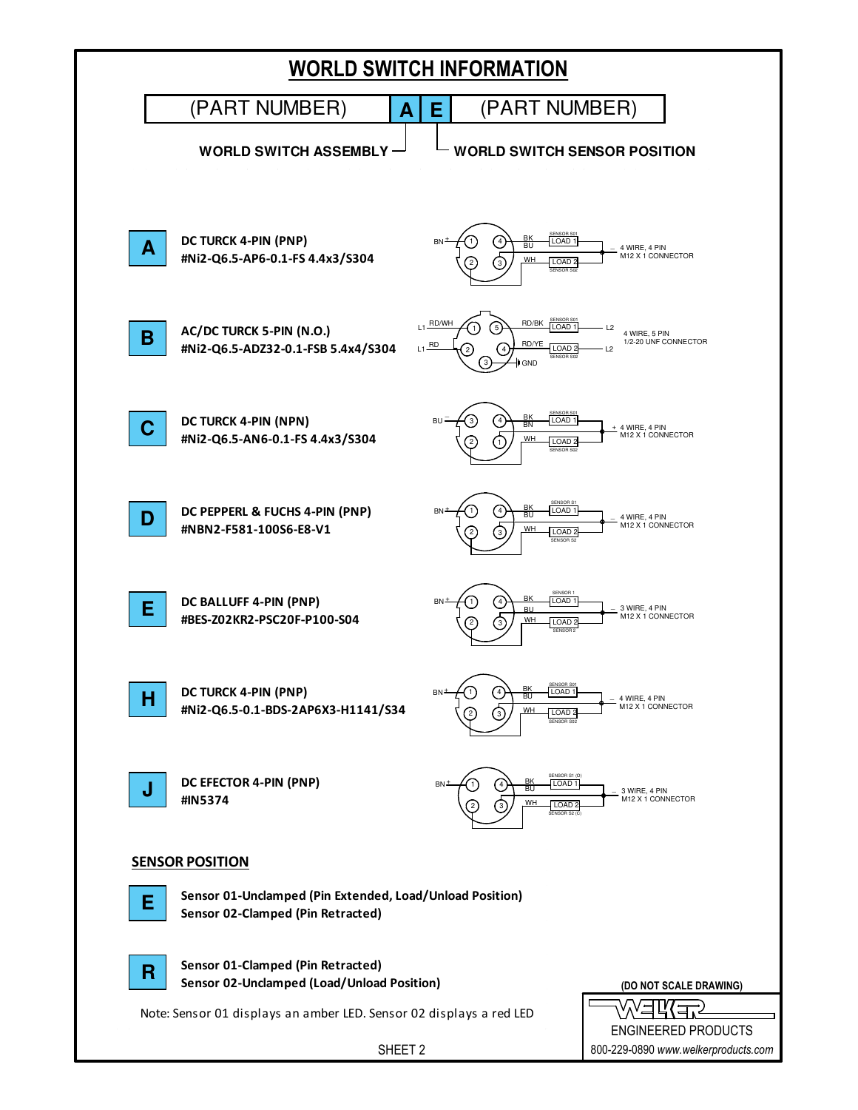